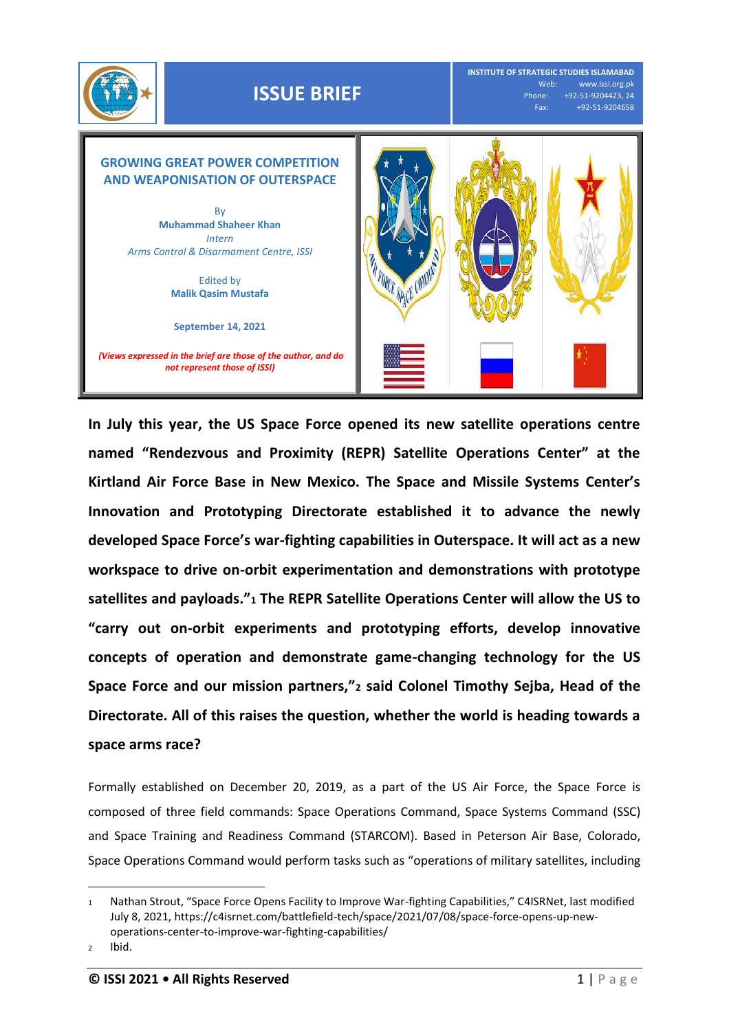

## **ISSUE BRIEF**

**INSTITUTE OF STRATEGIC STUDIES ISLAMABAD** Web: www.issi.org.pk<br>Phone: +92-51-9204423, 24 one: +92-51-9204423, 24<br>Fax: +92-51-9204658 Fax: +92-51-9204658



**In July this year, the US Space Force opened its new satellite operations centre named "Rendezvous and Proximity (REPR) Satellite Operations Center" at the Kirtland Air Force Base in New Mexico. The Space and Missile Systems Center's Innovation and Prototyping Directorate established it to advance the newly developed Space Force's war-fighting capabilities in Outerspace. It will act as a new workspace to drive on-orbit experimentation and demonstrations with prototype satellites and payloads."<sup>1</sup> The REPR Satellite Operations Center will allow the US to "carry out on-orbit experiments and prototyping efforts, develop innovative concepts of operation and demonstrate game-changing technology for the US Space Force and our mission partners,"<sup>2</sup> said Colonel Timothy Sejba, Head of the Directorate. All of this raises the question, whether the world is heading towards a space arms race?**

Formally established on December 20, 2019, as a part of the US Air Force, the Space Force is composed of three field commands: Space Operations Command, Space Systems Command (SSC) and Space Training and Readiness Command (STARCOM). Based in Peterson Air Base, Colorado, Space Operations Command would perform tasks such as "operations of military satellites, including

 $\overline{a}$ 

<sup>1</sup> Nathan Strout, "Space Force Opens Facility to Improve War-fighting Capabilities," C4ISRNet, last modified July 8, 2021[, https://c4isrnet.com/battlefield-tech/space/2021/07/08/space-force-opens-up-new](https://c4isrnet.com/battlefield-tech/space/2021/07/08/space-force-opens-up-new-operations-center-to-improve-war-fighting-capabilities/)[operations-center-to-improve-war-fighting-capabilities/](https://c4isrnet.com/battlefield-tech/space/2021/07/08/space-force-opens-up-new-operations-center-to-improve-war-fighting-capabilities/)

<sup>2</sup> Ibid.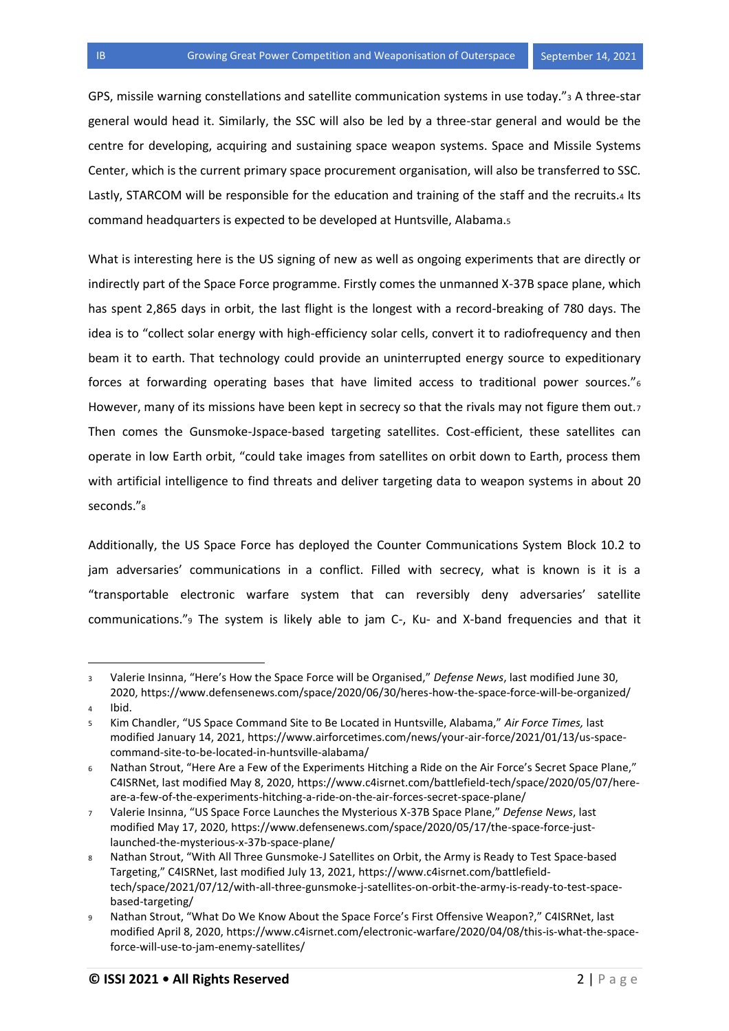GPS, missile warning constellations and satellite communication systems in use today."<sup>3</sup> A three-star general would head it. Similarly, the SSC will also be led by a three-star general and would be the centre for developing, acquiring and sustaining space weapon systems. Space and Missile Systems Center, which is the current primary space procurement organisation, will also be transferred to SSC. Lastly, STARCOM will be responsible for the education and training of the staff and the recruits.4 Its command headquarters is expected to be developed at Huntsville, Alabama.<sup>5</sup>

What is interesting here is the US signing of new as well as ongoing experiments that are directly or indirectly part of the Space Force programme. Firstly comes the unmanned X-37B space plane, which has spent 2,865 days in orbit, the last flight is the longest with a record-breaking of 780 days. The idea is to "collect solar energy with high-efficiency solar cells, convert it to radiofrequency and then beam it to earth. That technology could provide an uninterrupted energy source to expeditionary forces at forwarding operating bases that have limited access to traditional power sources."<sup>6</sup> However, many of its missions have been kept in secrecy so that the rivals may not figure them out.7 Then comes the Gunsmoke-Jspace-based targeting satellites. Cost-efficient, these satellites can operate in low Earth orbit, "could take images from satellites on orbit down to Earth, process them with artificial intelligence to find threats and deliver targeting data to weapon systems in about 20 seconds."<sup>8</sup>

Additionally, the US Space Force has deployed the Counter Communications System Block 10.2 to jam adversaries' communications in a conflict. Filled with secrecy, what is known is it is a "transportable electronic warfare system that can reversibly deny adversaries' satellite communications."<sup>9</sup> The system is likely able to jam C-, Ku- and X-band frequencies and that it

l

<sup>3</sup> Valerie Insinna, "Here's How the Space Force will be Organised," *Defense News*, last modified June 30, 2020,<https://www.defensenews.com/space/2020/06/30/heres-how-the-space-force-will-be-organized/>

<sup>4</sup> Ibid.

<sup>5</sup> Kim Chandler, "US Space Command Site to Be Located in Huntsville, Alabama," *Air Force Times,* last modified January 14, 2021, [https://www.airforcetimes.com/news/your-air-force/2021/01/13/us-space](https://www.airforcetimes.com/news/your-air-force/2021/01/13/us-space-command-site-to-be-located-in-huntsville-alabama/)[command-site-to-be-located-in-huntsville-alabama/](https://www.airforcetimes.com/news/your-air-force/2021/01/13/us-space-command-site-to-be-located-in-huntsville-alabama/)

<sup>6</sup> Nathan Strout, "Here Are a Few of the Experiments Hitching a Ride on the Air Force's Secret Space Plane," C4ISRNet, last modified May 8, 2020[, https://www.c4isrnet.com/battlefield-tech/space/2020/05/07/here](https://www.c4isrnet.com/battlefield-tech/space/2020/05/07/here-are-a-few-of-the-experiments-hitching-a-ride-on-the-air-forces-secret-space-plane/)[are-a-few-of-the-experiments-hitching-a-ride-on-the-air-forces-secret-space-plane/](https://www.c4isrnet.com/battlefield-tech/space/2020/05/07/here-are-a-few-of-the-experiments-hitching-a-ride-on-the-air-forces-secret-space-plane/)

<sup>7</sup> Valerie Insinna, "US Space Force Launches the Mysterious X-37B Space Plane," *Defense News*, last modified May 17, 2020[, https://www.defensenews.com/space/2020/05/17/the-space-force-just](https://www.defensenews.com/space/2020/05/17/the-space-force-just-launched-the-mysterious-x-37b-space-plane/)[launched-the-mysterious-x-37b-space-plane/](https://www.defensenews.com/space/2020/05/17/the-space-force-just-launched-the-mysterious-x-37b-space-plane/)

<sup>8</sup> Nathan Strout, "With All Three Gunsmoke-J Satellites on Orbit, the Army is Ready to Test Space-based Targeting," C4ISRNet, last modified July 13, 2021, [https://www.c4isrnet.com/battlefield](https://www.c4isrnet.com/battlefield-tech/space/2021/07/12/with-all-three-gunsmoke-j-satellites-on-orbit-the-army-is-ready-to-test-space-based-targeting/)[tech/space/2021/07/12/with-all-three-gunsmoke-j-satellites-on-orbit-the-army-is-ready-to-test-space](https://www.c4isrnet.com/battlefield-tech/space/2021/07/12/with-all-three-gunsmoke-j-satellites-on-orbit-the-army-is-ready-to-test-space-based-targeting/)[based-targeting/](https://www.c4isrnet.com/battlefield-tech/space/2021/07/12/with-all-three-gunsmoke-j-satellites-on-orbit-the-army-is-ready-to-test-space-based-targeting/)

<sup>9</sup> Nathan Strout, "What Do We Know About the Space Force's First Offensive Weapon?," C4ISRNet, last modified April 8, 2020, [https://www.c4isrnet.com/electronic-warfare/2020/04/08/this-is-what-the-space](https://www.c4isrnet.com/electronic-warfare/2020/04/08/this-is-what-the-space-force-will-use-to-jam-enemy-satellites/)[force-will-use-to-jam-enemy-satellites/](https://www.c4isrnet.com/electronic-warfare/2020/04/08/this-is-what-the-space-force-will-use-to-jam-enemy-satellites/)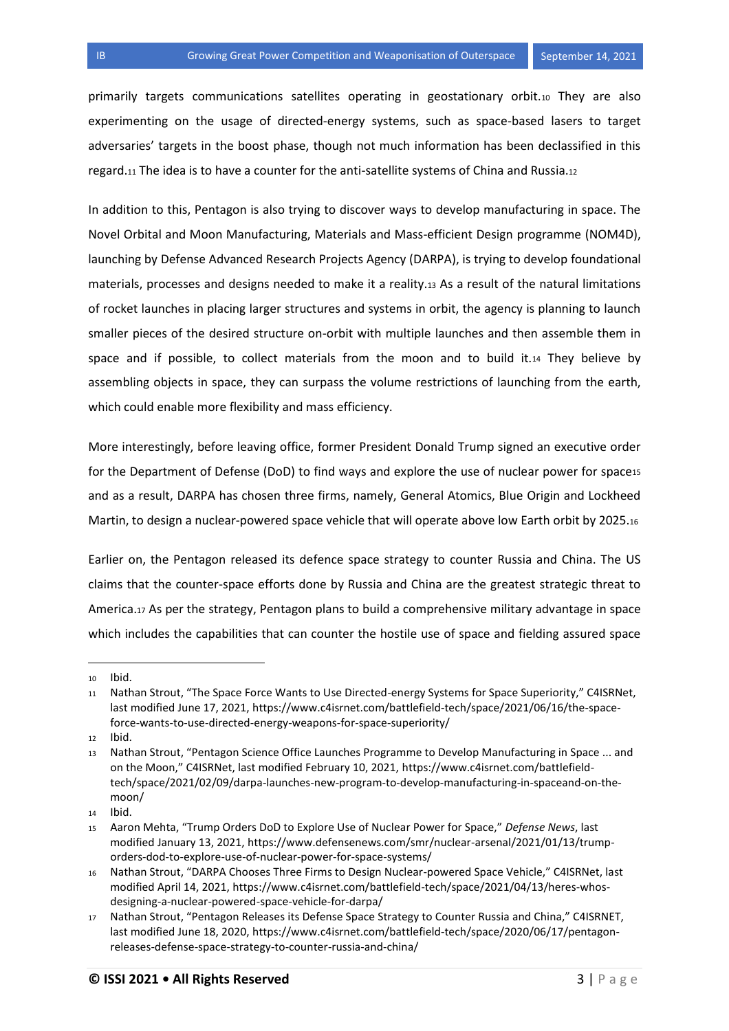primarily targets communications satellites operating in geostationary orbit.<sup>10</sup> They are also experimenting on the usage of directed-energy systems, such as space-based lasers to target adversaries' targets in the boost phase, though not much information has been declassified in this regard.<sup>11</sup> The idea is to have a counter for the anti-satellite systems of China and Russia.<sup>12</sup>

In addition to this, Pentagon is also trying to discover ways to develop manufacturing in space. The Novel Orbital and Moon Manufacturing, Materials and Mass-efficient Design programme (NOM4D), launching by Defense Advanced Research Projects Agency (DARPA), is trying to develop foundational materials, processes and designs needed to make it a reality.<sup>13</sup> As a result of the natural limitations of rocket launches in placing larger structures and systems in orbit, the agency is planning to launch smaller pieces of the desired structure on-orbit with multiple launches and then assemble them in space and if possible, to collect materials from the moon and to build it.<sup>14</sup> They believe by assembling objects in space, they can surpass the volume restrictions of launching from the earth, which could enable more flexibility and mass efficiency.

More interestingly, before leaving office, former President Donald Trump signed an executive order for the Department of Defense (DoD) to find ways and explore the use of nuclear power for space15 and as a result, DARPA has chosen three firms, namely, General Atomics, Blue Origin and Lockheed Martin, to design a nuclear-powered space vehicle that will operate above low Earth orbit by 2025.<sup>16</sup>

Earlier on, the Pentagon released its defence space strategy to counter Russia and China. The US claims that the counter-space efforts done by Russia and China are the greatest strategic threat to America.<sup>17</sup> As per the strategy, Pentagon plans to build a comprehensive military advantage in space which includes the capabilities that can counter the hostile use of space and fielding assured space

l

<sup>12</sup> Ibid.

<sup>10</sup> Ibid.

<sup>11</sup> Nathan Strout, "The Space Force Wants to Use Directed-energy Systems for Space Superiority," C4ISRNet, last modified June 17, 2021, [https://www.c4isrnet.com/battlefield-tech/space/2021/06/16/the-space](https://www.c4isrnet.com/battlefield-tech/space/2021/06/16/the-space-force-wants-to-use-directed-energy-weapons-for-space-superiority/)[force-wants-to-use-directed-energy-weapons-for-space-superiority/](https://www.c4isrnet.com/battlefield-tech/space/2021/06/16/the-space-force-wants-to-use-directed-energy-weapons-for-space-superiority/)

<sup>13</sup> Nathan Strout, "Pentagon Science Office Launches Programme to Develop Manufacturing in Space ... and on the Moon," C4ISRNet, last modified February 10, 2021, [https://www.c4isrnet.com/battlefield](https://www.c4isrnet.com/battlefield-tech/space/2021/02/09/darpa-launches-new-program-to-develop-manufacturing-in-spaceand-on-the-moon/)[tech/space/2021/02/09/darpa-launches-new-program-to-develop-manufacturing-in-spaceand-on-the](https://www.c4isrnet.com/battlefield-tech/space/2021/02/09/darpa-launches-new-program-to-develop-manufacturing-in-spaceand-on-the-moon/)[moon/](https://www.c4isrnet.com/battlefield-tech/space/2021/02/09/darpa-launches-new-program-to-develop-manufacturing-in-spaceand-on-the-moon/)

<sup>14</sup> Ibid.

<sup>15</sup> Aaron Mehta, "Trump Orders DoD to Explore Use of Nuclear Power for Space," *Defense News*, last modified January 13, 2021, [https://www.defensenews.com/smr/nuclear-arsenal/2021/01/13/trump](https://www.defensenews.com/smr/nuclear-arsenal/2021/01/13/trump-orders-dod-to-explore-use-of-nuclear-power-for-space-systems/)[orders-dod-to-explore-use-of-nuclear-power-for-space-systems/](https://www.defensenews.com/smr/nuclear-arsenal/2021/01/13/trump-orders-dod-to-explore-use-of-nuclear-power-for-space-systems/)

<sup>16</sup> Nathan Strout, "DARPA Chooses Three Firms to Design Nuclear-powered Space Vehicle," C4ISRNet, last modified April 14, 2021, [https://www.c4isrnet.com/battlefield-tech/space/2021/04/13/heres-whos](https://www.c4isrnet.com/battlefield-tech/space/2021/04/13/heres-whos-designing-a-nuclear-powered-space-vehicle-for-darpa/)[designing-a-nuclear-powered-space-vehicle-for-darpa/](https://www.c4isrnet.com/battlefield-tech/space/2021/04/13/heres-whos-designing-a-nuclear-powered-space-vehicle-for-darpa/)

<sup>17</sup> Nathan Strout, "Pentagon Releases its Defense Space Strategy to Counter Russia and China," C4ISRNET, last modified June 18, 2020, [https://www.c4isrnet.com/battlefield-tech/space/2020/06/17/pentagon](https://www.c4isrnet.com/battlefield-tech/space/2020/06/17/pentagon-releases-defense-space-strategy-to-counter-russia-and-china/)[releases-defense-space-strategy-to-counter-russia-and-china/](https://www.c4isrnet.com/battlefield-tech/space/2020/06/17/pentagon-releases-defense-space-strategy-to-counter-russia-and-china/)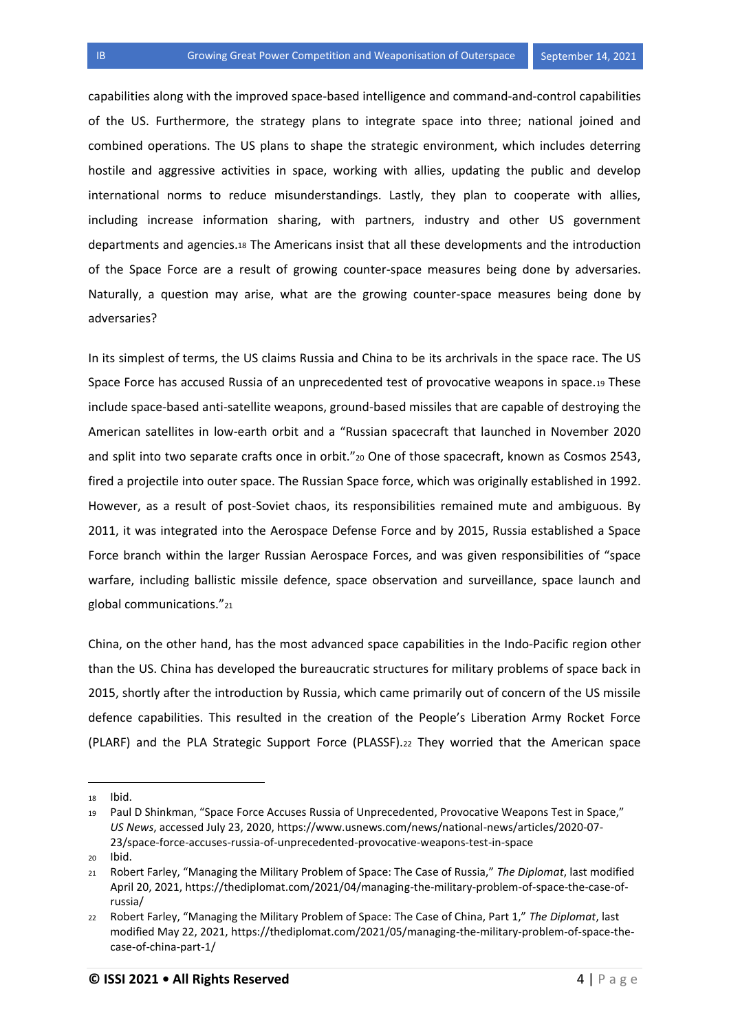capabilities along with the improved space-based intelligence and command-and-control capabilities of the US. Furthermore, the strategy plans to integrate space into three; national joined and combined operations. The US plans to shape the strategic environment, which includes deterring hostile and aggressive activities in space, working with allies, updating the public and develop international norms to reduce misunderstandings. Lastly, they plan to cooperate with allies, including increase information sharing, with partners, industry and other US government departments and agencies.<sup>18</sup> The Americans insist that all these developments and the introduction of the Space Force are a result of growing counter-space measures being done by adversaries. Naturally, a question may arise, what are the growing counter-space measures being done by adversaries?

In its simplest of terms, the US claims Russia and China to be its archrivals in the space race. The US Space Force has accused Russia of an unprecedented test of provocative weapons in space.<sup>19</sup> These include space-based anti-satellite weapons, ground-based missiles that are capable of destroying the American satellites in low-earth orbit and a "Russian spacecraft that launched in November 2020 and split into two separate crafts once in orbit."20 One of those spacecraft, known as Cosmos 2543, fired a projectile into outer space. The Russian Space force, which was originally established in 1992. However, as a result of post-Soviet chaos, its responsibilities remained mute and ambiguous. By 2011, it was integrated into the Aerospace Defense Force and by 2015, Russia established a Space Force branch within the larger Russian Aerospace Forces, and was given responsibilities of "space warfare, including ballistic missile defence, space observation and surveillance, space launch and global communications."<sup>21</sup>

China, on the other hand, has the most advanced space capabilities in the Indo-Pacific region other than the US. China has developed the bureaucratic structures for military problems of space back in 2015, shortly after the introduction by Russia, which came primarily out of concern of the US missile defence capabilities. This resulted in the creation of the People's Liberation Army Rocket Force (PLARF) and the PLA Strategic Support Force (PLASSF).<sup>22</sup> They worried that the American space

l

<sup>18</sup> Ibid.

<sup>19</sup> Paul D Shinkman, "Space Force Accuses Russia of Unprecedented, Provocative Weapons Test in Space," *US News*, accessed July 23, 2020, [https://www.usnews.com/news/national-news/articles/2020-07-](https://www.usnews.com/news/national-news/articles/2020-07-23/space-force-accuses-russia-of-unprecedented-provocative-weapons-test-in-space) [23/space-force-accuses-russia-of-unprecedented-provocative-weapons-test-in-space](https://www.usnews.com/news/national-news/articles/2020-07-23/space-force-accuses-russia-of-unprecedented-provocative-weapons-test-in-space)

<sup>20</sup> Ibid.

<sup>21</sup> Robert Farley, "Managing the Military Problem of Space: The Case of Russia," *The Diplomat*, last modified April 20, 2021, [https://thediplomat.com/2021/04/managing-the-military-problem-of-space-the-case-of](https://thediplomat.com/2021/04/managing-the-military-problem-of-space-the-case-of-russia/)[russia/](https://thediplomat.com/2021/04/managing-the-military-problem-of-space-the-case-of-russia/)

<sup>22</sup> Robert Farley, "Managing the Military Problem of Space: The Case of China, Part 1," *The Diplomat*, last modified May 22, 2021[, https://thediplomat.com/2021/05/managing-the-military-problem-of-space-the](https://thediplomat.com/2021/05/managing-the-military-problem-of-space-the-case-of-china-part-1/)[case-of-china-part-1/](https://thediplomat.com/2021/05/managing-the-military-problem-of-space-the-case-of-china-part-1/)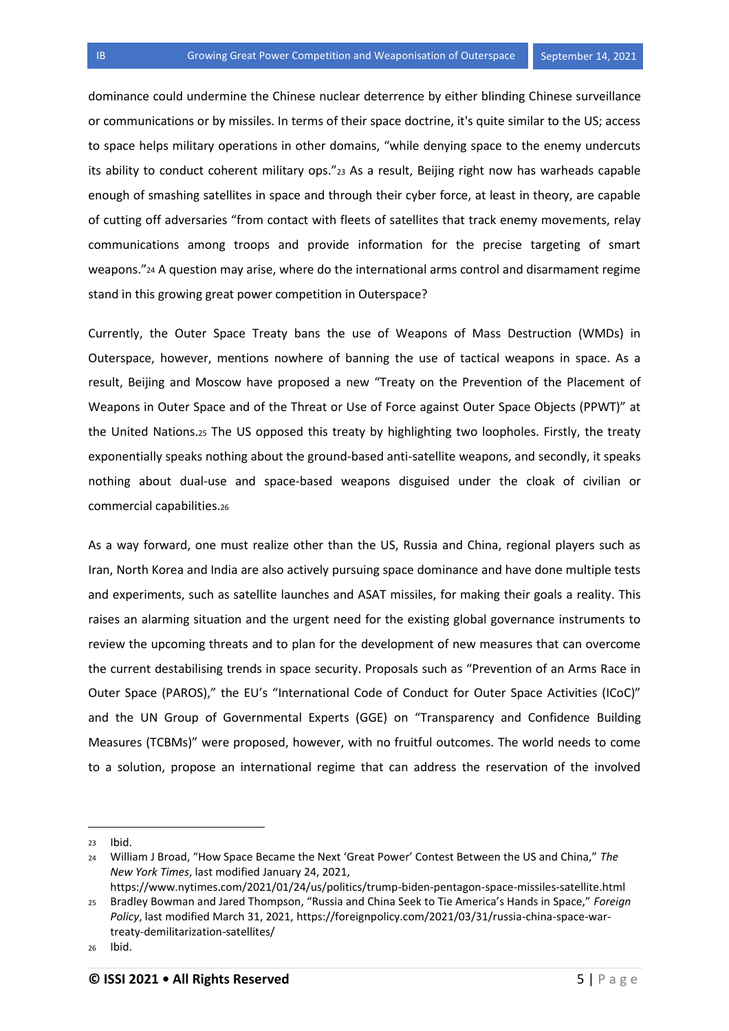dominance could undermine the Chinese nuclear deterrence by either blinding Chinese surveillance or communications or by missiles. In terms of their space doctrine, it's quite similar to the US; access to space helps military operations in other domains, "while denying space to the enemy undercuts its ability to conduct coherent military ops."<sup>23</sup> As a result, Beijing right now has warheads capable enough of smashing satellites in space and through their cyber force, at least in theory, are capable of cutting off adversaries "from contact with fleets of satellites that track enemy movements, relay communications among troops and provide information for the precise targeting of smart weapons."<sup>24</sup> A question may arise, where do the international arms control and disarmament regime stand in this growing great power competition in Outerspace?

Currently, the Outer Space Treaty bans the use of Weapons of Mass Destruction (WMDs) in Outerspace, however, mentions nowhere of banning the use of tactical weapons in space. As a result, Beijing and Moscow have proposed a new "Treaty on the Prevention of the Placement of Weapons in Outer Space and of the Threat or Use of Force against Outer Space Objects (PPWT)" at the United Nations.<sup>25</sup> The US opposed this treaty by highlighting two loopholes. Firstly, the treaty exponentially speaks nothing about the ground-based anti-satellite weapons, and secondly, it speaks nothing about dual-use and space-based weapons disguised under the cloak of civilian or commercial capabilities.<sup>26</sup>

As a way forward, one must realize other than the US, Russia and China, regional players such as Iran, North Korea and India are also actively pursuing space dominance and have done multiple tests and experiments, such as satellite launches and ASAT missiles, for making their goals a reality. This raises an alarming situation and the urgent need for the existing global governance instruments to review the upcoming threats and to plan for the development of new measures that can overcome the current destabilising trends in space security. Proposals such as "Prevention of an Arms Race in Outer Space (PAROS)," the EU's "International Code of Conduct for Outer Space Activities (ICoC)" and the UN Group of Governmental Experts (GGE) on "Transparency and Confidence Building Measures (TCBMs)" were proposed, however, with no fruitful outcomes. The world needs to come to a solution, propose an international regime that can address the reservation of the involved

 $\overline{a}$ 

<https://www.nytimes.com/2021/01/24/us/politics/trump-biden-pentagon-space-missiles-satellite.html>

<sup>23</sup> Ibid.

<sup>24</sup> William J Broad, "How Space Became the Next 'Great Power' Contest Between the US and China," *The New York Times*, last modified January 24, 2021,

<sup>25</sup> Bradley Bowman and Jared Thompson, "Russia and China Seek to Tie America's Hands in Space," *Foreign Policy*, last modified March 31, 2021, [https://foreignpolicy.com/2021/03/31/russia-china-space-war](https://foreignpolicy.com/2021/03/31/russia-china-space-war-treaty-demilitarization-satellites/)[treaty-demilitarization-satellites/](https://foreignpolicy.com/2021/03/31/russia-china-space-war-treaty-demilitarization-satellites/)

<sup>26</sup> Ibid.